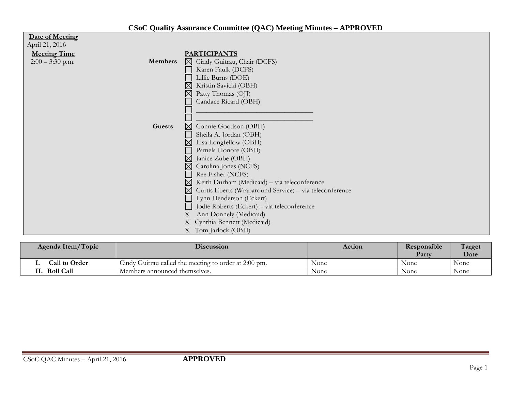| Date of Meeting                      |                                                             |
|--------------------------------------|-------------------------------------------------------------|
| April 21, 2016                       |                                                             |
| <b>Meeting Time</b>                  | <b>PARTICIPANTS</b>                                         |
| $2:00 - 3:30$ p.m.<br><b>Members</b> | $\boxtimes$<br>Cindy Guitrau, Chair (DCFS)                  |
|                                      | Karen Faulk (DCFS)                                          |
|                                      | Lillie Burns (DOE)                                          |
|                                      | Kristin Savicki (OBH)                                       |
|                                      | Patty Thomas (OJJ)                                          |
|                                      | Candace Ricard (OBH)                                        |
|                                      |                                                             |
|                                      |                                                             |
| Guests                               | $\boxtimes$<br>Connie Goodson (OBH)                         |
|                                      | Sheila A. Jordan (OBH)                                      |
|                                      | Lisa Longfellow (OBH)                                       |
|                                      | Pamela Honore (OBH)                                         |
|                                      | $\boxtimes$<br>Janice Zube (OBH)                            |
|                                      | Carolina Jones (NCFS)<br>$\mathsf{X}% _{0}$                 |
|                                      | Ree Fisher (NCFS)                                           |
|                                      | Keith Durham (Medicaid) - via teleconference<br>$\boxtimes$ |
|                                      | Curtis Eberts (Wraparound Service) - via teleconference     |
|                                      | Lynn Henderson (Eckert)                                     |
|                                      | Jodie Roberts (Eckert) - via teleconference                 |
|                                      | Ann Donnely (Medicaid)                                      |
|                                      | X Cynthia Bennett (Medicaid)                                |
|                                      | X Tom Jarlock (OBH)                                         |

| Agenda Item/Topic    | <b>Discussion</b>                                     | Action | Responsible<br>Party | Target<br><b>Date</b> |
|----------------------|-------------------------------------------------------|--------|----------------------|-----------------------|
| <b>Call to Order</b> | Cindy Guitrau called the meeting to order at 2:00 pm. | None   | None                 | None                  |
| <b>Roll Call</b>     | Members announced themselves.                         | None   | None                 | None                  |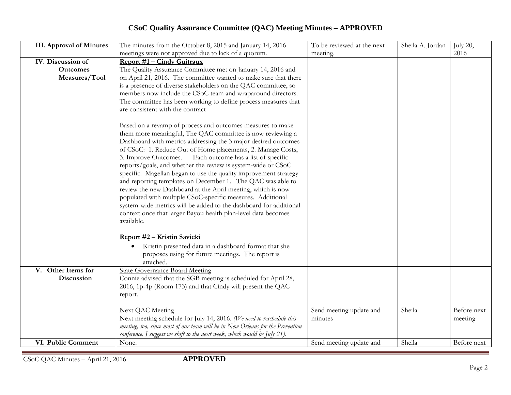## **CSoC Quality Assurance Committee (QAC) Meeting Minutes – APPROVED**

| <b>III.</b> Approval of Minutes                       | The minutes from the October 8, 2015 and January 14, 2016<br>meetings were not approved due to lack of a quorum.                                                                                                                                                                                                                                                                                                                                                                                                                                                                                              | To be reviewed at the next<br>meeting. | Sheila A. Jordan | July 20,<br>2016       |
|-------------------------------------------------------|---------------------------------------------------------------------------------------------------------------------------------------------------------------------------------------------------------------------------------------------------------------------------------------------------------------------------------------------------------------------------------------------------------------------------------------------------------------------------------------------------------------------------------------------------------------------------------------------------------------|----------------------------------------|------------------|------------------------|
| IV. Discussion of<br><b>Outcomes</b><br>Measures/Tool | Report #1 – Cindy Guitraux<br>The Quality Assurance Committee met on January 14, 2016 and<br>on April 21, 2016. The committee wanted to make sure that there<br>is a presence of diverse stakeholders on the QAC committee, so<br>members now include the CSoC team and wraparound directors.<br>The committee has been working to define process measures that<br>are consistent with the contract<br>Based on a revamp of process and outcomes measures to make<br>them more meaningful, The QAC committee is now reviewing a<br>Dashboard with metrics addressing the 3 major desired outcomes             |                                        |                  |                        |
|                                                       | of CSoC: 1. Reduce Out of Home placements, 2. Manage Costs,<br>Each outcome has a list of specific<br>3. Improve Outcomes.<br>reports/goals, and whether the review is system-wide or CSoC<br>specific. Magellan began to use the quality improvement strategy<br>and reporting templates on December 1. The QAC was able to<br>review the new Dashboard at the April meeting, which is now<br>populated with multiple CSoC-specific measures. Additional<br>system-wide metrics will be added to the dashboard for additional<br>context once that larger Bayou health plan-level data becomes<br>available. |                                        |                  |                        |
|                                                       | Report #2 - Kristin Savicki<br>Kristin presented data in a dashboard format that she<br>proposes using for future meetings. The report is<br>attached.                                                                                                                                                                                                                                                                                                                                                                                                                                                        |                                        |                  |                        |
| V. Other Items for<br>Discussion                      | <b>State Governance Board Meeting</b><br>Connie advised that the SGB meeting is scheduled for April 28,<br>2016, 1p-4p (Room 173) and that Cindy will present the QAC<br>report.                                                                                                                                                                                                                                                                                                                                                                                                                              |                                        |                  |                        |
|                                                       | <b>Next OAC Meeting</b><br>Next meeting schedule for July 14, 2016. (We need to reschedule this<br>meeting, too, since most of our team will be in New Orleans for the Prevention<br>conference. I suggest we shift to the next week, which would be July 21).                                                                                                                                                                                                                                                                                                                                                | Send meeting update and<br>minutes     | Sheila           | Before next<br>meeting |
| VI. Public Comment                                    | None.                                                                                                                                                                                                                                                                                                                                                                                                                                                                                                                                                                                                         | Send meeting update and                | Sheila           | Before next            |